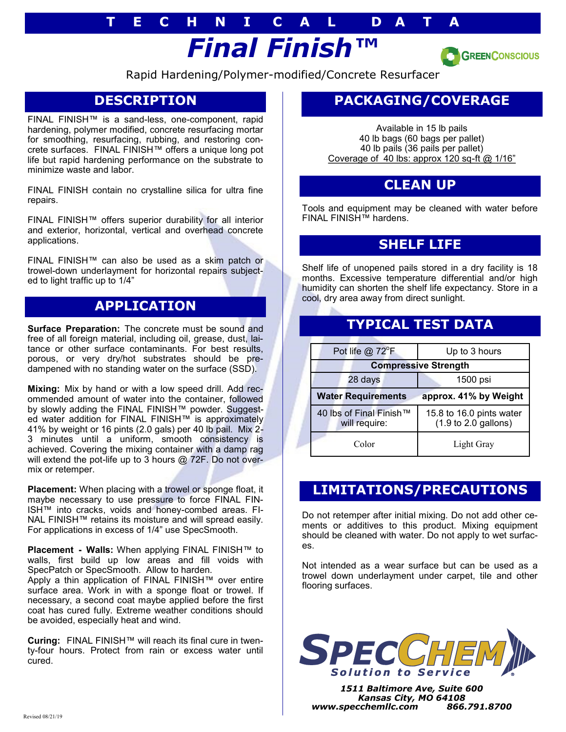# *Final Finish™* **T E C H N I C A L D A T A**



Rapid Hardening/Polymer-modified/Concrete Resurfacer

# **DESCRIPTION**

FINAL FINISH™ is a sand-less, one-component, rapid hardening, polymer modified, concrete resurfacing mortar for smoothing, resurfacing, rubbing, and restoring concrete surfaces. FINAL FINISH™ offers a unique long pot life but rapid hardening performance on the substrate to minimize waste and labor.

FINAL FINISH contain no crystalline silica for ultra fine repairs.

FINAL FINISH™ offers superior durability for all interior and exterior, horizontal, vertical and overhead concrete applications.

FINAL FINISH™ can also be used as a skim patch or trowel-down underlayment for horizontal repairs subjected to light traffic up to 1/4"

### **APPLICATION**

**Surface Preparation:** The concrete must be sound and free of all foreign material, including oil, grease, dust, laitance or other surface contaminants. For best results, porous, or very dry/hot substrates should be predampened with no standing water on the surface (SSD).

**Mixing:** Mix by hand or with a low speed drill. Add recommended amount of water into the container, followed by slowly adding the FINAL FINISH™ powder. Suggested water addition for FINAL FINISH™ is approximately 41% by weight or 16 pints (2.0 gals) per 40 lb pail. Mix 2- 3 minutes until a uniform, smooth consistency is achieved. Covering the mixing container with a damp rag will extend the pot-life up to 3 hours @ 72F. Do not overmix or retemper.

**Placement:** When placing with a trowel or sponge float, it maybe necessary to use pressure to force FINAL FIN-ISH™ into cracks, voids and honey-combed areas. FI-NAL FINISH™ retains its moisture and will spread easily. For applications in excess of 1/4" use SpecSmooth.

**Placement - Walls:** When applying FINAL FINISH™ to walls, first build up low areas and fill voids with SpecPatch or SpecSmooth. Allow to harden. Apply a thin application of FINAL FINISH™ over entire surface area. Work in with a sponge float or trowel. If necessary, a second coat maybe applied before the first coat has cured fully. Extreme weather conditions should be avoided, especially heat and wind.

**Curing:** FINAL FINISH™ will reach its final cure in twenty-four hours. Protect from rain or excess water until cured.

# **PACKAGING/COVERAGE**

Available in 15 lb pails 40 lb bags (60 bags per pallet) 40 lb pails (36 pails per pallet) Coverage of 40 lbs: approx 120 sq-ft  $@$  1/16"

#### **CLEAN UP**

Tools and equipment may be cleaned with water before FINAL FINISH™ hardens.

#### **SHELF LIFE**

Shelf life of unopened pails stored in a dry facility is 18 months. Excessive temperature differential and/or high humidity can shorten the shelf life expectancy. Store in a cool, dry area away from direct sunlight.

## **TYPICAL TEST DATA**

| Pot life $@$ 72 ${}^{\circ}$ F                     | Up to 3 hours                                                       |
|----------------------------------------------------|---------------------------------------------------------------------|
| <b>Compressive Strength</b>                        |                                                                     |
| 28 days                                            | 1500 psi                                                            |
| <b>Water Requirements</b><br>approx. 41% by Weight |                                                                     |
| 40 lbs of Final Finish™<br>will require:           | 15.8 to 16.0 pints water<br>$(1.9 \text{ to } 2.0 \text{ gallons})$ |
| Color                                              | Light Gray                                                          |

### **LIMITATIONS/PRECAUTIONS**

Do not retemper after initial mixing. Do not add other cements or additives to this product. Mixing equipment should be cleaned with water. Do not apply to wet surfaces.

Not intended as a wear surface but can be used as a trowel down underlayment under carpet, tile and other flooring surfaces.



*1511 Baltimore Ave, Suite 600 Kansas City, MO 64108 www.specchemllc.com 866.791.8700*